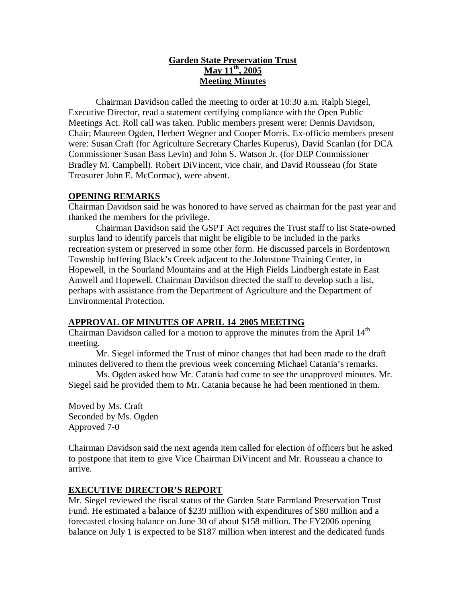# **Garden State Preservation Trust May 11th, 2005 Meeting Minutes**

Chairman Davidson called the meeting to order at 10:30 a.m. Ralph Siegel, Executive Director, read a statement certifying compliance with the Open Public Meetings Act. Roll call was taken. Public members present were: Dennis Davidson, Chair; Maureen Ogden, Herbert Wegner and Cooper Morris. Ex-officio members present were: Susan Craft (for Agriculture Secretary Charles Kuperus), David Scanlan (for DCA Commissioner Susan Bass Levin) and John S. Watson Jr. (for DEP Commissioner Bradley M. Campbell). Robert DiVincent, vice chair, and David Rousseau (for State Treasurer John E. McCormac), were absent.

# **OPENING REMARKS**

Chairman Davidson said he was honored to have served as chairman for the past year and thanked the members for the privilege.

Chairman Davidson said the GSPT Act requires the Trust staff to list State-owned surplus land to identify parcels that might be eligible to be included in the parks recreation system or preserved in some other form. He discussed parcels in Bordentown Township buffering Black's Creek adjacent to the Johnstone Training Center, in Hopewell, in the Sourland Mountains and at the High Fields Lindbergh estate in East Amwell and Hopewell. Chairman Davidson directed the staff to develop such a list, perhaps with assistance from the Department of Agriculture and the Department of Environmental Protection.

# **APPROVAL OF MINUTES OF APRIL 14 2005 MEETING**

Chairman Davidson called for a motion to approve the minutes from the April 14<sup>th</sup> meeting.

Mr. Siegel informed the Trust of minor changes that had been made to the draft minutes delivered to them the previous week concerning Michael Catania's remarks.

Ms. Ogden asked how Mr. Catania had come to see the unapproved minutes. Mr. Siegel said he provided them to Mr. Catania because he had been mentioned in them.

Moved by Ms. Craft Seconded by Ms. Ogden Approved 7-0

Chairman Davidson said the next agenda item called for election of officers but he asked to postpone that item to give Vice Chairman DiVincent and Mr. Rousseau a chance to arrive.

### **EXECUTIVE DIRECTOR'S REPORT**

Mr. Siegel reviewed the fiscal status of the Garden State Farmland Preservation Trust Fund. He estimated a balance of \$239 million with expenditures of \$80 million and a forecasted closing balance on June 30 of about \$158 million. The FY2006 opening balance on July 1 is expected to be \$187 million when interest and the dedicated funds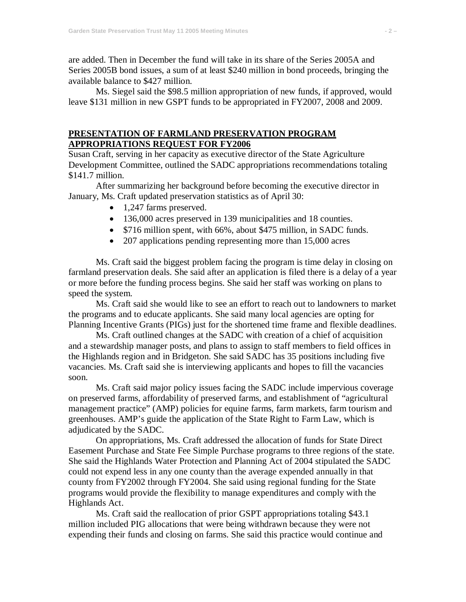are added. Then in December the fund will take in its share of the Series 2005A and Series 2005B bond issues, a sum of at least \$240 million in bond proceeds, bringing the available balance to \$427 million.

Ms. Siegel said the \$98.5 million appropriation of new funds, if approved, would leave \$131 million in new GSPT funds to be appropriated in FY2007, 2008 and 2009.

### **PRESENTATION OF FARMLAND PRESERVATION PROGRAM APPROPRIATIONS REQUEST FOR FY2006**

Susan Craft, serving in her capacity as executive director of the State Agriculture Development Committee, outlined the SADC appropriations recommendations totaling \$141.7 million.

After summarizing her background before becoming the executive director in January, Ms. Craft updated preservation statistics as of April 30:

- 1,247 farms preserved.
- 136,000 acres preserved in 139 municipalities and 18 counties.
- \$716 million spent, with 66%, about \$475 million, in SADC funds.
- 207 applications pending representing more than 15,000 acres

Ms. Craft said the biggest problem facing the program is time delay in closing on farmland preservation deals. She said after an application is filed there is a delay of a year or more before the funding process begins. She said her staff was working on plans to speed the system.

Ms. Craft said she would like to see an effort to reach out to landowners to market the programs and to educate applicants. She said many local agencies are opting for Planning Incentive Grants (PIGs) just for the shortened time frame and flexible deadlines.

Ms. Craft outlined changes at the SADC with creation of a chief of acquisition and a stewardship manager posts, and plans to assign to staff members to field offices in the Highlands region and in Bridgeton. She said SADC has 35 positions including five vacancies. Ms. Craft said she is interviewing applicants and hopes to fill the vacancies soon.

Ms. Craft said major policy issues facing the SADC include impervious coverage on preserved farms, affordability of preserved farms, and establishment of "agricultural management practice" (AMP) policies for equine farms, farm markets, farm tourism and greenhouses. AMP's guide the application of the State Right to Farm Law, which is adjudicated by the SADC.

On appropriations, Ms. Craft addressed the allocation of funds for State Direct Easement Purchase and State Fee Simple Purchase programs to three regions of the state. She said the Highlands Water Protection and Planning Act of 2004 stipulated the SADC could not expend less in any one county than the average expended annually in that county from FY2002 through FY2004. She said using regional funding for the State programs would provide the flexibility to manage expenditures and comply with the Highlands Act.

Ms. Craft said the reallocation of prior GSPT appropriations totaling \$43.1 million included PIG allocations that were being withdrawn because they were not expending their funds and closing on farms. She said this practice would continue and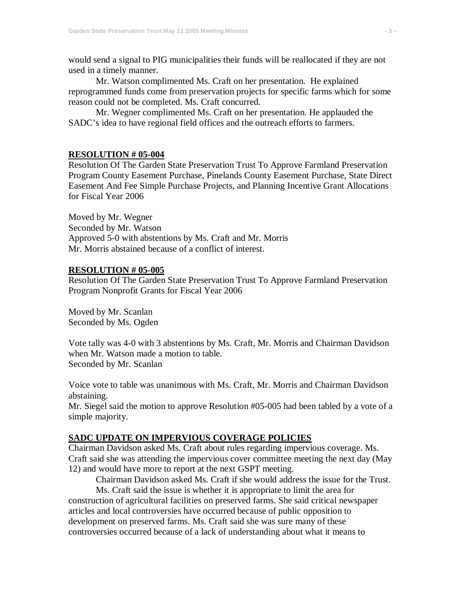would send a signal to PIG municipalities their funds will be reallocated if they are not used in a timely manner.

Mr. Watson complimented Ms. Craft on her presentation. He explained reprogrammed funds come from preservation projects for specific farms which for some reason could not be completed. Ms. Craft concurred.

Mr. Wegner complimented Ms. Craft on her presentation. He applauded the SADC's idea to have regional field offices and the outreach efforts to farmers.

#### **RESOLUTION # 05-004**

Resolution Of The Garden State Preservation Trust To Approve Farmland Preservation Program County Easement Purchase, Pinelands County Easement Purchase, State Direct Easement And Fee Simple Purchase Projects, and Planning Incentive Grant Allocations for Fiscal Year 2006

Moved by Mr. Wegner Seconded by Mr. Watson Approved 5-0 with abstentions by Ms. Craft and Mr. Morris Mr. Morris abstained because of a conflict of interest.

#### **RESOLUTION # 05-005**

Resolution Of The Garden State Preservation Trust To Approve Farmland Preservation Program Nonprofit Grants for Fiscal Year 2006

Moved by Mr. Scanlan Seconded by Ms. Ogden

Vote tally was 4-0 with 3 abstentions by Ms. Craft, Mr. Morris and Chairman Davidson when Mr. Watson made a motion to table. Seconded by Mr. Scanlan

Voice vote to table was unanimous with Ms. Craft, Mr. Morris and Chairman Davidson abstaining.

Mr. Siegel said the motion to approve Resolution #05-005 had been tabled by a vote of a simple majority.

#### **SADC UPDATE ON IMPERVIOUS COVERAGE POLICIES**

Chairman Davidson asked Ms. Craft about rules regarding impervious coverage. Ms. Craft said she was attending the impervious cover committee meeting the next day (May 12) and would have more to report at the next GSPT meeting.

Chairman Davidson asked Ms. Craft if she would address the issue for the Trust.

Ms. Craft said the issue is whether it is appropriate to limit the area for construction of agricultural facilities on preserved farms. She said critical newspaper articles and local controversies have occurred because of public opposition to development on preserved farms. Ms. Craft said she was sure many of these controversies occurred because of a lack of understanding about what it means to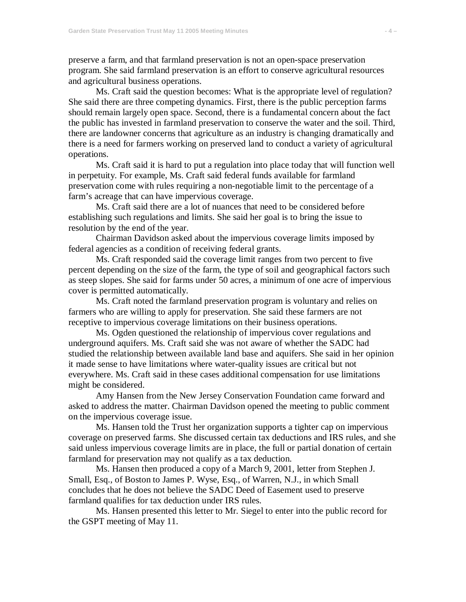preserve a farm, and that farmland preservation is not an open-space preservation program. She said farmland preservation is an effort to conserve agricultural resources and agricultural business operations.

Ms. Craft said the question becomes: What is the appropriate level of regulation? She said there are three competing dynamics. First, there is the public perception farms should remain largely open space. Second, there is a fundamental concern about the fact the public has invested in farmland preservation to conserve the water and the soil. Third, there are landowner concerns that agriculture as an industry is changing dramatically and there is a need for farmers working on preserved land to conduct a variety of agricultural operations.

Ms. Craft said it is hard to put a regulation into place today that will function well in perpetuity. For example, Ms. Craft said federal funds available for farmland preservation come with rules requiring a non-negotiable limit to the percentage of a farm's acreage that can have impervious coverage.

Ms. Craft said there are a lot of nuances that need to be considered before establishing such regulations and limits. She said her goal is to bring the issue to resolution by the end of the year.

Chairman Davidson asked about the impervious coverage limits imposed by federal agencies as a condition of receiving federal grants.

Ms. Craft responded said the coverage limit ranges from two percent to five percent depending on the size of the farm, the type of soil and geographical factors such as steep slopes. She said for farms under 50 acres, a minimum of one acre of impervious cover is permitted automatically.

Ms. Craft noted the farmland preservation program is voluntary and relies on farmers who are willing to apply for preservation. She said these farmers are not receptive to impervious coverage limitations on their business operations.

Ms. Ogden questioned the relationship of impervious cover regulations and underground aquifers. Ms. Craft said she was not aware of whether the SADC had studied the relationship between available land base and aquifers. She said in her opinion it made sense to have limitations where water-quality issues are critical but not everywhere. Ms. Craft said in these cases additional compensation for use limitations might be considered.

Amy Hansen from the New Jersey Conservation Foundation came forward and asked to address the matter. Chairman Davidson opened the meeting to public comment on the impervious coverage issue.

Ms. Hansen told the Trust her organization supports a tighter cap on impervious coverage on preserved farms. She discussed certain tax deductions and IRS rules, and she said unless impervious coverage limits are in place, the full or partial donation of certain farmland for preservation may not qualify as a tax deduction.

Ms. Hansen then produced a copy of a March 9, 2001, letter from Stephen J. Small, Esq., of Boston to James P. Wyse, Esq., of Warren, N.J., in which Small concludes that he does not believe the SADC Deed of Easement used to preserve farmland qualifies for tax deduction under IRS rules.

Ms. Hansen presented this letter to Mr. Siegel to enter into the public record for the GSPT meeting of May 11.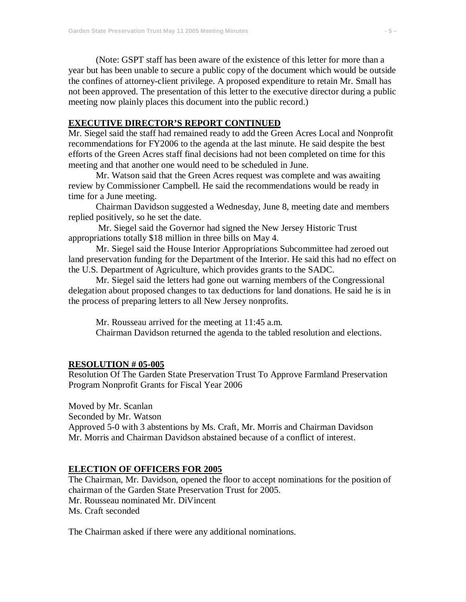(Note: GSPT staff has been aware of the existence of this letter for more than a year but has been unable to secure a public copy of the document which would be outside the confines of attorney-client privilege. A proposed expenditure to retain Mr. Small has not been approved. The presentation of this letter to the executive director during a public meeting now plainly places this document into the public record.)

### **EXECUTIVE DIRECTOR'S REPORT CONTINUED**

Mr. Siegel said the staff had remained ready to add the Green Acres Local and Nonprofit recommendations for FY2006 to the agenda at the last minute. He said despite the best efforts of the Green Acres staff final decisions had not been completed on time for this meeting and that another one would need to be scheduled in June.

Mr. Watson said that the Green Acres request was complete and was awaiting review by Commissioner Campbell. He said the recommendations would be ready in time for a June meeting.

Chairman Davidson suggested a Wednesday, June 8, meeting date and members replied positively, so he set the date.

Mr. Siegel said the Governor had signed the New Jersey Historic Trust appropriations totally \$18 million in three bills on May 4.

Mr. Siegel said the House Interior Appropriations Subcommittee had zeroed out land preservation funding for the Department of the Interior. He said this had no effect on the U.S. Department of Agriculture, which provides grants to the SADC.

Mr. Siegel said the letters had gone out warning members of the Congressional delegation about proposed changes to tax deductions for land donations. He said he is in the process of preparing letters to all New Jersey nonprofits.

Mr. Rousseau arrived for the meeting at 11:45 a.m.

Chairman Davidson returned the agenda to the tabled resolution and elections.

### **RESOLUTION # 05-005**

Resolution Of The Garden State Preservation Trust To Approve Farmland Preservation Program Nonprofit Grants for Fiscal Year 2006

Moved by Mr. Scanlan Seconded by Mr. Watson Approved 5-0 with 3 abstentions by Ms. Craft, Mr. Morris and Chairman Davidson Mr. Morris and Chairman Davidson abstained because of a conflict of interest.

### **ELECTION OF OFFICERS FOR 2005**

The Chairman, Mr. Davidson, opened the floor to accept nominations for the position of chairman of the Garden State Preservation Trust for 2005. Mr. Rousseau nominated Mr. DiVincent Ms. Craft seconded

The Chairman asked if there were any additional nominations.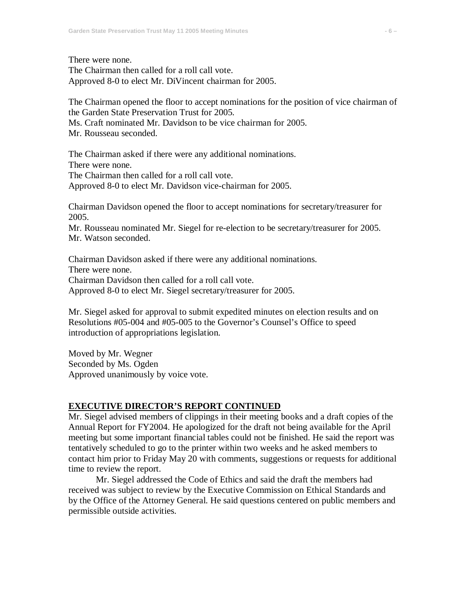There were none.

The Chairman then called for a roll call vote. Approved 8-0 to elect Mr. DiVincent chairman for 2005.

The Chairman opened the floor to accept nominations for the position of vice chairman of the Garden State Preservation Trust for 2005.

Ms. Craft nominated Mr. Davidson to be vice chairman for 2005.

Mr. Rousseau seconded.

The Chairman asked if there were any additional nominations. There were none.

The Chairman then called for a roll call vote. Approved 8-0 to elect Mr. Davidson vice-chairman for 2005.

Chairman Davidson opened the floor to accept nominations for secretary/treasurer for 2005.

Mr. Rousseau nominated Mr. Siegel for re-election to be secretary/treasurer for 2005. Mr. Watson seconded.

Chairman Davidson asked if there were any additional nominations. There were none. Chairman Davidson then called for a roll call vote. Approved 8-0 to elect Mr. Siegel secretary/treasurer for 2005.

Mr. Siegel asked for approval to submit expedited minutes on election results and on Resolutions #05-004 and #05-005 to the Governor's Counsel's Office to speed introduction of appropriations legislation.

Moved by Mr. Wegner Seconded by Ms. Ogden Approved unanimously by voice vote.

#### **EXECUTIVE DIRECTOR'S REPORT CONTINUED**

Mr. Siegel advised members of clippings in their meeting books and a draft copies of the Annual Report for FY2004. He apologized for the draft not being available for the April meeting but some important financial tables could not be finished. He said the report was tentatively scheduled to go to the printer within two weeks and he asked members to contact him prior to Friday May 20 with comments, suggestions or requests for additional time to review the report.

Mr. Siegel addressed the Code of Ethics and said the draft the members had received was subject to review by the Executive Commission on Ethical Standards and by the Office of the Attorney General. He said questions centered on public members and permissible outside activities.